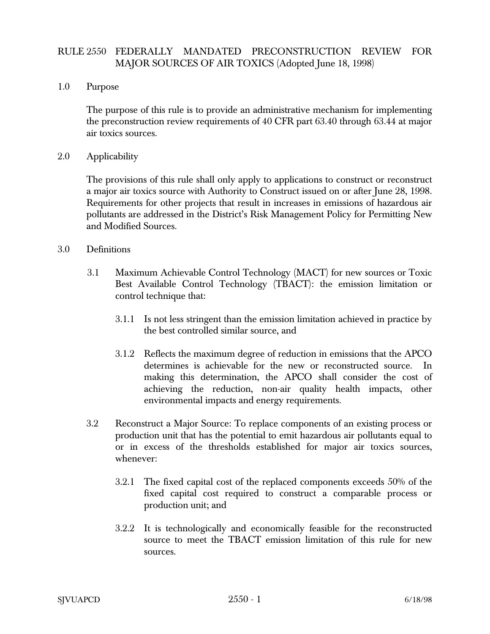## RULE 2550 FEDERALLY MANDATED PRECONSTRUCTION REVIEW FOR MAJOR SOURCES OF AIR TOXICS (Adopted June 18, 1998)

## 1.0 Purpose

The purpose of this rule is to provide an administrative mechanism for implementing the preconstruction review requirements of 40 CFR part 63.40 through 63.44 at major air toxics sources.

## 2.0 Applicability

The provisions of this rule shall only apply to applications to construct or reconstruct a major air toxics source with Authority to Construct issued on or after June 28, 1998. Requirements for other projects that result in increases in emissions of hazardous air pollutants are addressed in the District's Risk Management Policy for Permitting New and Modified Sources.

## 3.0 Definitions

- 3.1 Maximum Achievable Control Technology (MACT) for new sources or Toxic Best Available Control Technology (TBACT): the emission limitation or control technique that:
	- 3.1.1 Is not less stringent than the emission limitation achieved in practice by the best controlled similar source, and
	- 3.1.2 Reflects the maximum degree of reduction in emissions that the APCO determines is achievable for the new or reconstructed source. In making this determination, the APCO shall consider the cost of achieving the reduction, non-air quality health impacts, other environmental impacts and energy requirements.
- 3.2 Reconstruct a Major Source: To replace components of an existing process or production unit that has the potential to emit hazardous air pollutants equal to or in excess of the thresholds established for major air toxics sources, whenever:
	- 3.2.1 The fixed capital cost of the replaced components exceeds 50% of the fixed capital cost required to construct a comparable process or production unit; and
	- 3.2.2 It is technologically and economically feasible for the reconstructed source to meet the TBACT emission limitation of this rule for new sources.